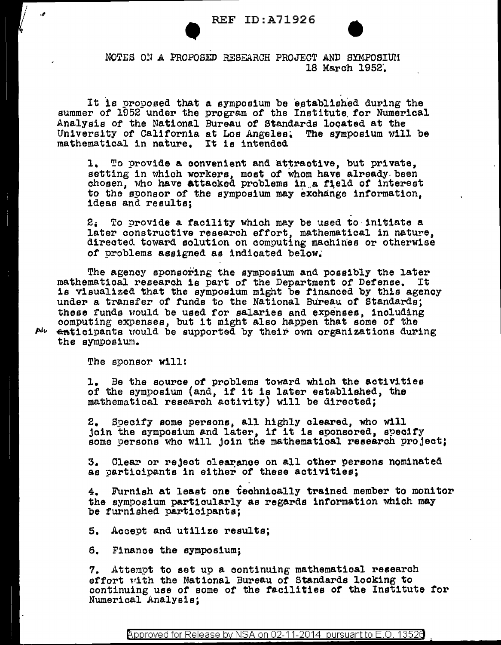

NOTES ON A PROPOSED RESEARCH PROJECT AND SYMPOSIUM 18 March 1952.

It is proposed that a symposium be established during the summer of 1952 under the program of the Institute for Numerical Analysis of the National Bureau of Standards located at the University of California at Los Angeles. The symposium will be mathematical in nature. It is intended

1. To provide a convenient and attractive, but private, setting in which workers, most of whom have already been chosen, who have attacked problems in a field of interest to the sponsor of the symposium may exchange information. ideas and results;

 $2_i$  To provide a facility which may be used to initiate a later constructive research effort, mathematical in nature, directed toward solution on computing machines or otherwise of problems assigned as indicated below.

The agency sponsoring the symposium and possibly the later mathematical research is part of the Department of Defense. It is visualized that the symposium might be financed by this agency under a transfer of funds to the National Bureau of Standards; these funds would be used for salaries and expenses, including computing expenses, but it might also happen that some of the enticipants would be supported by their own organizations during the symposium.

The sponsor will:

م.

Abe

1. Be the source of problems toward which the activities of the symposium (and, if it is later established, the mathematical research activity) will be directed;

2. Specify some persons, all highly cleared, who will join the symposium and later, if it is sponsored, specify some persons who will join the mathematical research project;

3. Clear or reject clearance on all other persons nominated as participants in either of these activities;

4. Furnish at least one technically trained member to monitor the symposium particularly as regards information which may be furnished participants;

5. Accept and utilize results;

6. Finance the symposium;

7. Attempt to set up a continuing mathematical research effort with the National Bureau of Standards looking to continuing use of some of the facilities of the Institute for Numerical Analysis;

Approved for Release by NSA on 02-11-2014 pursuant to E.O. 13526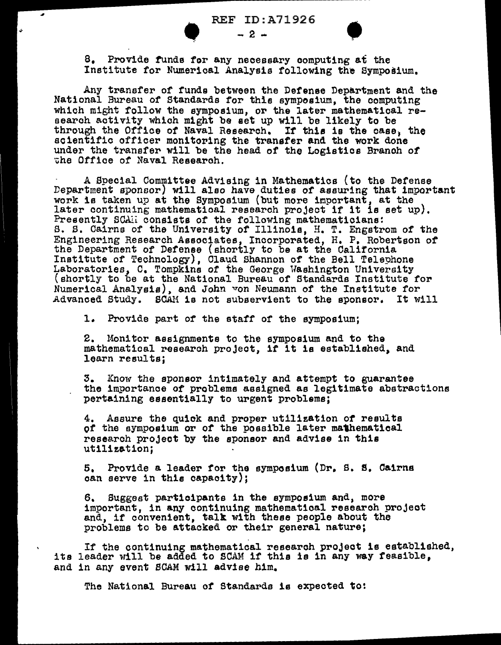REF ID:A71926





REF ID:A71926<br>- 2 -<br>8. Provide funds for any necessary computing at the Institute for Numerical Analysis following the Symposium.

Any transfer of funds between the Defense Department and the National Bureau of Standards for this symposium, the computing which might follow the symposium, or the later mathematical research activity which m1ght be set up will be likely to be through the Office of Naval Research. If this is the case, the scientific officer monitoring the transfer and the work done under the transfer will be the head of the Logistics Branoh *ot*  the Office of Naval Research.

A Special Committee Advising in Mathematics (to the Defense Department sponsor) will also have duties or assuring that important work is taken up at the Symposium (but more important, at the later continuing mathematical research project if it is set up). Presently SCAII consists of the following mathematicians: S. S. Cairns of the University of Illinois, H. T. Engstrom of the Engineering Research Associates, Incorporated, H. P. Robertson of the Department of Defense (shortly to be at the California Institute of Technology), Cla~d Shannon of the Bell Telephone Laboratories, c. Tompkins of the George Washington University (shortly to be at the National Bureau of Standards Institute for Numerical Analysis), and John von Neumann of the Institute for Advanced Study. SCAM is not subservient to the sponsor. It will

1. Provide part of the staff of the symposium;

2. Monitor assignments to the symposium and to the mathematical research project, if it is established, and learn results;

3. Know the sponsor intimately and attempt to guarantee the importance of problems assigned as legitimate abstractions pertaining essentially to urgent problems;

4. Assure the quick and proper utilization of results *ot* the symposium or of the possible later ma'hematical research project by the sponsor and advise in this utilization;

5, Provide a leader for the symposium (Dr. s. s. Cairns oan serve in this oapaoity);

6, Suggest participants in the symposium and, more important, in any continuing mathematioal research project and, if convenient, talk w1th these people about the problems to be attacked or their general nature;

If the continuing mathematical research project is established, its leader will be added to SCAM if this is in any way feasible, and in any event SCAM will advise him.

The National Bureau of Standards is expected to: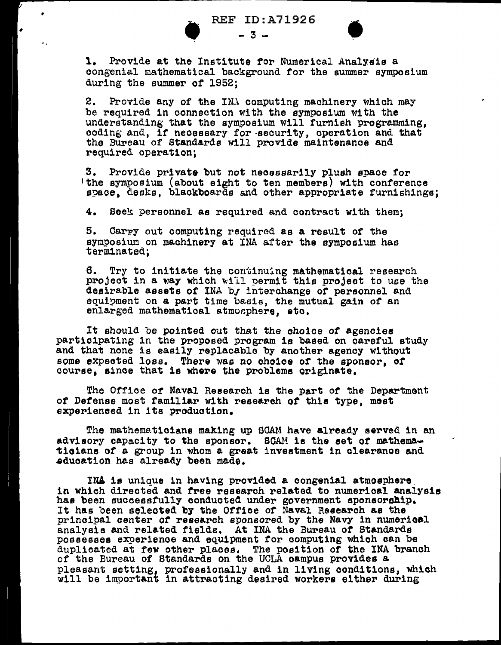

•

REF ID:A71926



R<br>
...<br>
1. Provide at the Inst REF ID:A71926<br> $-3$  -  $-3$  -  $\bullet$  -  $\bullet$  -  $\bullet$  -  $\bullet$  -  $\bullet$  -  $\bullet$  -  $\bullet$  -  $\bullet$  -  $\bullet$  -  $\bullet$  -  $\bullet$  -  $\bullet$  -  $\bullet$  -  $\bullet$  -  $\bullet$  -  $\bullet$  -  $\bullet$  -  $\bullet$  -  $\bullet$  -  $\bullet$  -  $\bullet$  -  $\bullet$  -  $\bullet$  -  $\bullet$  -  $\bullet$  -  $\bullet$  -  $\bullet$  -  $\bullet$ congenial mathematical background for the summer symposium during the summer of 1952;

> 2. Provide any of the INA computing machinery which may be required in connection with the symposium with the understanding that the symposium will furnish programming, coding and, if necessary for -security, operation and that the Bureau of Standards will provide maintenance and required operation;

3. Provide private but not necessarily plush space for 'the symposium (about eight to ten members) with conference space, desks, blackboards and other appropriate furnishings;

4. Beek personnel as required and contract with them;

5. Oarpy out computing required as a result of the symposium on machinery at INA after the symposium has terminated;

6. Try to initiate the continuing mathematical research project in a way which will permit this project to use the desirable assets of INA by interchange of personnel and equipment on a part time basis, the mutual gain of an enlarged mathematical atmosphere, etc.

It should be pointed out that the ohoioe of agencies participating in the proposed program is based on oaretul study and that none is easily replacable by another agency without some expected lose. There was no choice or the sponsor, ot course, since that is where the problems originate.

The Office or Naval Research is the part *ot* the Department of Defense most familiar with research of this type, most experienced in its production.

The mathemat1oiana making up SCAM have already served in an adviaory capacity to the sponsor. SCAM is the eet or mathema ticians of a group in whom a great investment in clearance and ~duoation has already been made.

INA is unique in having provided a congenial atmosphere. in which directed and tree research related to numerical analysis has been successfully conducted under government sponsorship. It has been selected by the Office of Naval Research as the principal center of research sponsored by the Navy in numerical analysis and related fields. At INA the Bureau or Standards possesses experience and equipment tor computing which can be duplicated at few other places. The position of the INA branch of the Bureau of Standards on the UCLA oampus provides a pleasant setting, professionally and in living conditions, which will be important in attracting desired workers either during